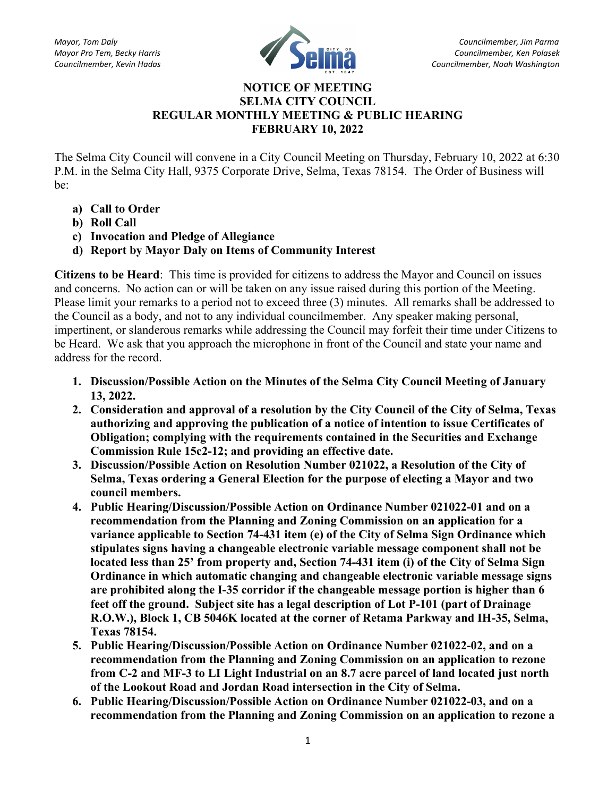

## NOTICE OF MEETING SELMA CITY COUNCIL REGULAR MONTHLY MEETING & PUBLIC HEARING FEBRUARY 10, 2022

The Selma City Council will convene in a City Council Meeting on Thursday, February 10, 2022 at 6:30 P.M. in the Selma City Hall, 9375 Corporate Drive, Selma, Texas 78154. The Order of Business will be:

- a) Call to Order
- b) Roll Call
- c) Invocation and Pledge of Allegiance
- d) Report by Mayor Daly on Items of Community Interest

Citizens to be Heard: This time is provided for citizens to address the Mayor and Council on issues and concerns. No action can or will be taken on any issue raised during this portion of the Meeting. Please limit your remarks to a period not to exceed three (3) minutes. All remarks shall be addressed to the Council as a body, and not to any individual councilmember. Any speaker making personal, impertinent, or slanderous remarks while addressing the Council may forfeit their time under Citizens to be Heard. We ask that you approach the microphone in front of the Council and state your name and address for the record.

- 1. Discussion/Possible Action on the Minutes of the Selma City Council Meeting of January 13, 2022.
- 2. Consideration and approval of a resolution by the City Council of the City of Selma, Texas authorizing and approving the publication of a notice of intention to issue Certificates of Obligation; complying with the requirements contained in the Securities and Exchange Commission Rule 15c2-12; and providing an effective date.
- 3. Discussion/Possible Action on Resolution Number 021022, a Resolution of the City of Selma, Texas ordering a General Election for the purpose of electing a Mayor and two council members.
- 4. Public Hearing/Discussion/Possible Action on Ordinance Number 021022-01 and on a recommendation from the Planning and Zoning Commission on an application for a variance applicable to Section 74-431 item (e) of the City of Selma Sign Ordinance which stipulates signs having a changeable electronic variable message component shall not be located less than 25' from property and, Section 74-431 item (i) of the City of Selma Sign Ordinance in which automatic changing and changeable electronic variable message signs are prohibited along the I-35 corridor if the changeable message portion is higher than 6 feet off the ground. Subject site has a legal description of Lot P-101 (part of Drainage R.O.W.), Block 1, CB 5046K located at the corner of Retama Parkway and IH-35, Selma, Texas 78154.
- 5. Public Hearing/Discussion/Possible Action on Ordinance Number 021022-02, and on a recommendation from the Planning and Zoning Commission on an application to rezone from C-2 and MF-3 to LI Light Industrial on an 8.7 acre parcel of land located just north of the Lookout Road and Jordan Road intersection in the City of Selma.
- 6. Public Hearing/Discussion/Possible Action on Ordinance Number 021022-03, and on a recommendation from the Planning and Zoning Commission on an application to rezone a